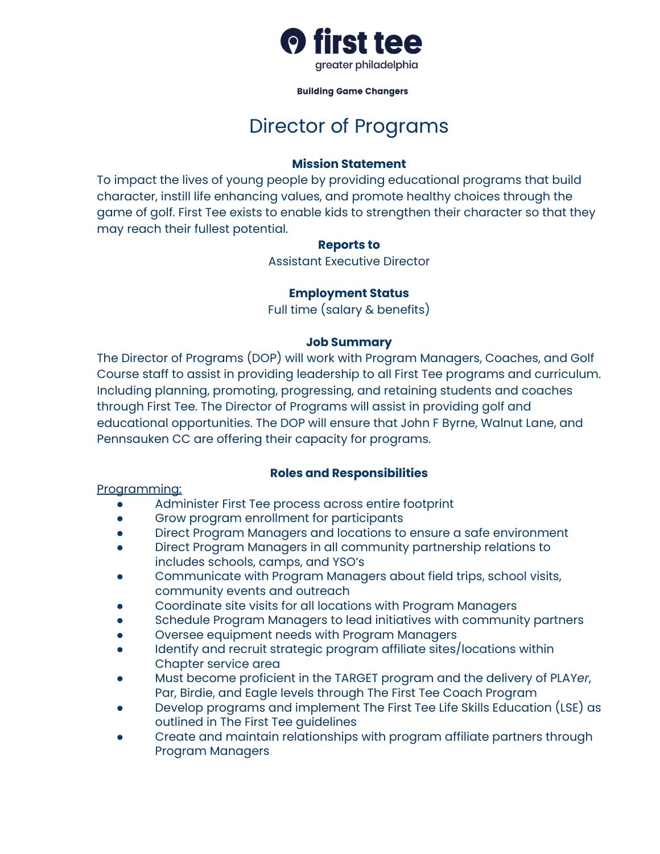

#### **Building Game Changers**

# Director of Programs

### **Mission Statement**

To impact the lives of young people by providing educational programs that build character, instill life enhancing values, and promote healthy choices through the game of golf. First Tee exists to enable kids to strengthen their character so that they may reach their fullest potential.

#### **Reports to**

Assistant Executive Director

# **Employment Status**

Full time (salary & benefits)

#### **Job Summary**

The Director of Programs (DOP) will work with Program Managers, Coaches, and Golf Course staff to assist in providing leadership to all First Tee programs and curriculum. Including planning, promoting, progressing, and retaining students and coaches through First Tee. The Director of Programs will assist in providing golf and educational opportunities. The DOP will ensure that John F Byrne, Walnut Lane, and Pennsauken CC are offering their capacity for programs.

# **Roles and Responsibilities**

Programming:

- Administer First Tee process across entire footprint
- Grow program enrollment for participants
- Direct Program Managers and locations to ensure a safe environment
- Direct Program Managers in all community partnership relations to includes schools, camps, and YSO's
- Communicate with Program Managers about field trips, school visits, community events and outreach
- Coordinate site visits for all locations with Program Managers
- Schedule Program Managers to lead initiatives with community partners
- Oversee equipment needs with Program Managers
- Identify and recruit strategic program affiliate sites/locations within Chapter service area
- Must become proficient in the TARGET program and the delivery of PLAY*er*, Par, Birdie, and Eagle levels through The First Tee Coach Program
- Develop programs and implement The First Tee Life Skills Education (LSE) as outlined in The First Tee guidelines
- Create and maintain relationships with program affiliate partners through Program Managers